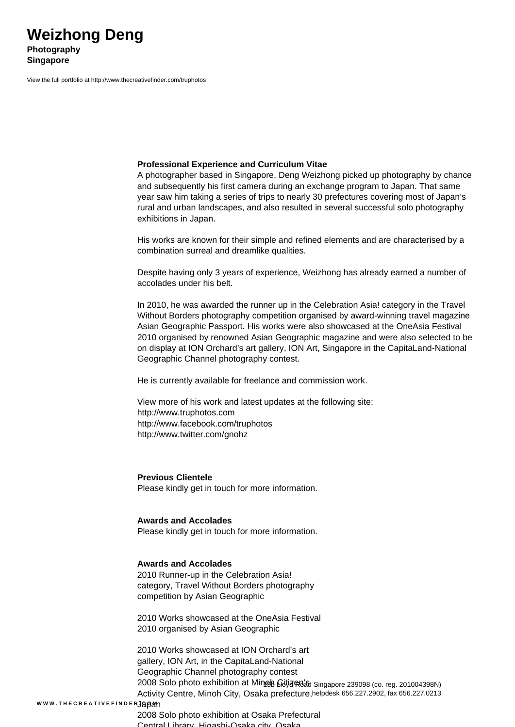View the full portfolio at http://www.thecreativefinder.com/truphotos

#### **Professional Experience and Curriculum Vitae**

A photographer based in Singapore, Deng Weizhong picked up photography by chance and subsequently his first camera during an exchange program to Japan. That same year saw him taking a series of trips to nearly 30 prefectures covering most of Japan's rural and urban landscapes, and also resulted in several successful solo photography exhibitions in Japan.

His works are known for their simple and refined elements and are characterised by a combination surreal and dreamlike qualities.

Despite having only 3 years of experience, Weizhong has already earned a number of accolades under his belt.

In 2010, he was awarded the runner up in the Celebration Asia! category in the Travel Without Borders photography competition organised by award-winning travel magazine Asian Geographic Passport. His works were also showcased at the OneAsia Festival 2010 organised by renowned Asian Geographic magazine and were also selected to be on display at ION Orchard's art gallery, ION Art, Singapore in the CapitaLand-National Geographic Channel photography contest.

He is currently available for freelance and commission work.

View more of his work and latest updates at the following site: http://www.truphotos.com http://www.facebook.com/truphotos http://www.twitter.com/gnohz

**Previous Clientele** Please kindly get in touch for more information.

## **Awards and Accolades**

Please kindly get in touch for more information.

### **Awards and Accolades**

2010 Runner-up in the Celebration Asia! category, Travel Without Borders photography competition by Asian Geographic

2010 Works showcased at the OneAsia Festival 2010 organised by Asian Geographic

2010 Works showcased at ION Orchard's art gallery, ION Art, in the CapitaLand-National Geographic Channel photography contest 2008 Solo photo exhibition at Minoh Gitja no'sh Singapore 239098 (co. reg. 201004398N) Activity Centre, Minoh City, Osaka prefecture, helpdesk 656.227.2902, fax 656.227.0213

### W W W . T H E C R E A T I V E F I N D E R **J & O 2 I**  $\cap$

2008 Solo photo exhibition at Osaka Prefectural Contral Library, Higashi-Osaka city, Osak